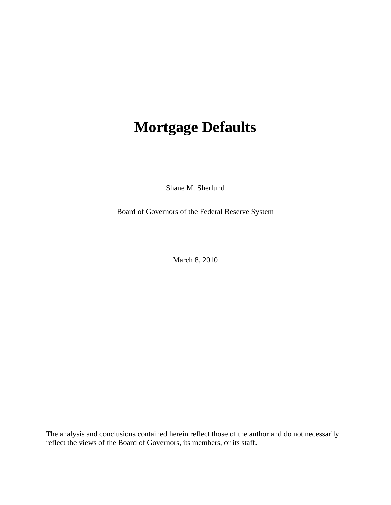# **Mortgage Defaults**

Shane M. Sherlund

Board of Governors of the Federal Reserve System

March 8, 2010

\_\_\_\_\_\_\_\_\_\_\_\_\_\_\_\_\_\_

The analysis and conclusions contained herein reflect those of the author and do not necessarily reflect the views of the Board of Governors, its members, or its staff.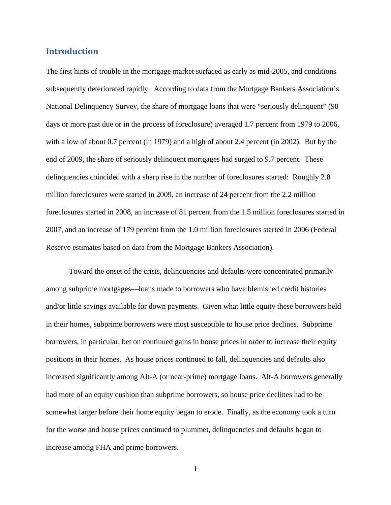## **Introduction**

The first hints of trouble in the mortgage market surfaced as early as mid-2005, and conditions subsequently deteriorated rapidly. According to data from the Mortgage Bankers Association's National Delinquency Survey, the share of mortgage loans that were "seriously delinquent" (90 days or more past due or in the process of foreclosure) averaged 1.7 percent from 1979 to 2006, with a low of about 0.7 percent (in 1979) and a high of about 2.4 percent (in 2002). But by the end of 2009, the share of seriously delinquent mortgages had surged to 9.7 percent. These delinquencies coincided with a sharp rise in the number of foreclosures started: Roughly 2.8 million foreclosures were started in 2009, an increase of 24 percent from the 2.2 million foreclosures started in 2008, an increase of 81 percent from the 1.5 million foreclosures started in 2007, and an increase of 179 percent from the 1.0 million foreclosures started in 2006 (Federal Reserve estimates based on data from the Mortgage Bankers Association).

 Toward the onset of the crisis, delinquencies and defaults were concentrated primarily among subprime mortgages—loans made to borrowers who have blemished credit histories and/or little savings available for down payments. Given what little equity these borrowers held in their homes, subprime borrowers were most susceptible to house price declines. Subprime borrowers, in particular, bet on continued gains in house prices in order to increase their equity positions in their homes. As house prices continued to fall, delinquencies and defaults also increased significantly among Alt-A (or near-prime) mortgage loans. Alt-A borrowers generally had more of an equity cushion than subprime borrowers, so house price declines had to be somewhat larger before their home equity began to erode. Finally, as the economy took a turn for the worse and house prices continued to plummet, delinquencies and defaults began to increase among FHA and prime borrowers.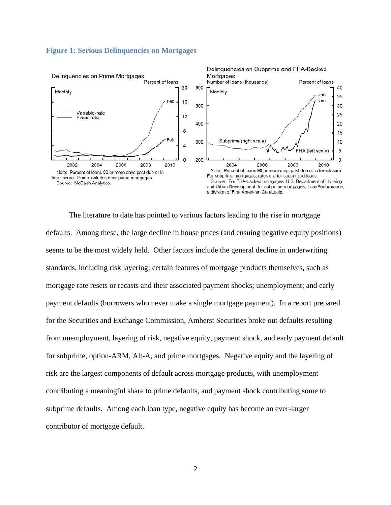#### **Figure 1: Serious Delinquencies on Mortgages**



 The literature to date has pointed to various factors leading to the rise in mortgage defaults. Among these, the large decline in house prices (and ensuing negative equity positions) seems to be the most widely held. Other factors include the general decline in underwriting standards, including risk layering; certain features of mortgage products themselves, such as mortgage rate resets or recasts and their associated payment shocks; unemployment; and early payment defaults (borrowers who never make a single mortgage payment). In a report prepared for the Securities and Exchange Commission, Amherst Securities broke out defaults resulting from unemployment, layering of risk, negative equity, payment shock, and early payment default for subprime, option-ARM, Alt-A, and prime mortgages. Negative equity and the layering of risk are the largest components of default across mortgage products, with unemployment contributing a meaningful share to prime defaults, and payment shock contributing some to subprime defaults. Among each loan type, negative equity has become an ever-larger contributor of mortgage default.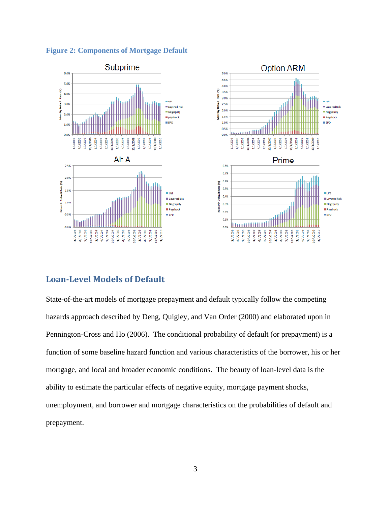

**Figure 2: Components of Mortgage Default** 

## **LoanLevel Models of Default**

State-of-the-art models of mortgage prepayment and default typically follow the competing hazards approach described by Deng, Quigley, and Van Order (2000) and elaborated upon in Pennington-Cross and Ho (2006). The conditional probability of default (or prepayment) is a function of some baseline hazard function and various characteristics of the borrower, his or her mortgage, and local and broader economic conditions. The beauty of loan-level data is the ability to estimate the particular effects of negative equity, mortgage payment shocks, unemployment, and borrower and mortgage characteristics on the probabilities of default and prepayment.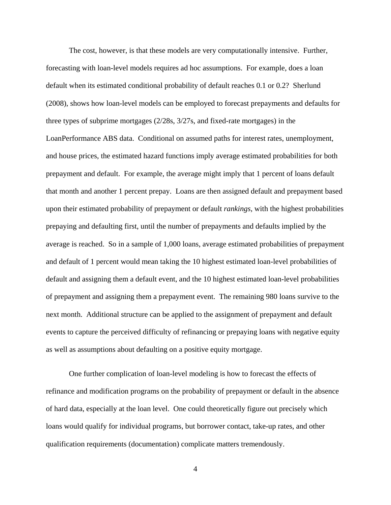The cost, however, is that these models are very computationally intensive. Further, forecasting with loan-level models requires ad hoc assumptions. For example, does a loan default when its estimated conditional probability of default reaches 0.1 or 0.2? Sherlund (2008), shows how loan-level models can be employed to forecast prepayments and defaults for three types of subprime mortgages (2/28s, 3/27s, and fixed-rate mortgages) in the LoanPerformance ABS data. Conditional on assumed paths for interest rates, unemployment, and house prices, the estimated hazard functions imply average estimated probabilities for both prepayment and default. For example, the average might imply that 1 percent of loans default that month and another 1 percent prepay. Loans are then assigned default and prepayment based upon their estimated probability of prepayment or default *rankings*, with the highest probabilities prepaying and defaulting first, until the number of prepayments and defaults implied by the average is reached. So in a sample of 1,000 loans, average estimated probabilities of prepayment and default of 1 percent would mean taking the 10 highest estimated loan-level probabilities of default and assigning them a default event, and the 10 highest estimated loan-level probabilities of prepayment and assigning them a prepayment event. The remaining 980 loans survive to the next month. Additional structure can be applied to the assignment of prepayment and default events to capture the perceived difficulty of refinancing or prepaying loans with negative equity as well as assumptions about defaulting on a positive equity mortgage.

One further complication of loan-level modeling is how to forecast the effects of refinance and modification programs on the probability of prepayment or default in the absence of hard data, especially at the loan level. One could theoretically figure out precisely which loans would qualify for individual programs, but borrower contact, take-up rates, and other qualification requirements (documentation) complicate matters tremendously.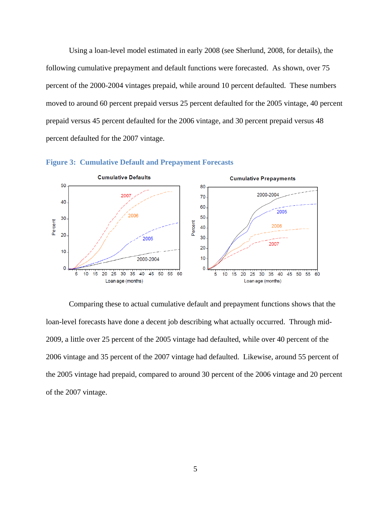Using a loan-level model estimated in early 2008 (see Sherlund, 2008, for details), the following cumulative prepayment and default functions were forecasted. As shown, over 75 percent of the 2000-2004 vintages prepaid, while around 10 percent defaulted. These numbers moved to around 60 percent prepaid versus 25 percent defaulted for the 2005 vintage, 40 percent prepaid versus 45 percent defaulted for the 2006 vintage, and 30 percent prepaid versus 48 percent defaulted for the 2007 vintage.





 Comparing these to actual cumulative default and prepayment functions shows that the loan-level forecasts have done a decent job describing what actually occurred. Through mid-2009, a little over 25 percent of the 2005 vintage had defaulted, while over 40 percent of the 2006 vintage and 35 percent of the 2007 vintage had defaulted. Likewise, around 55 percent of the 2005 vintage had prepaid, compared to around 30 percent of the 2006 vintage and 20 percent of the 2007 vintage.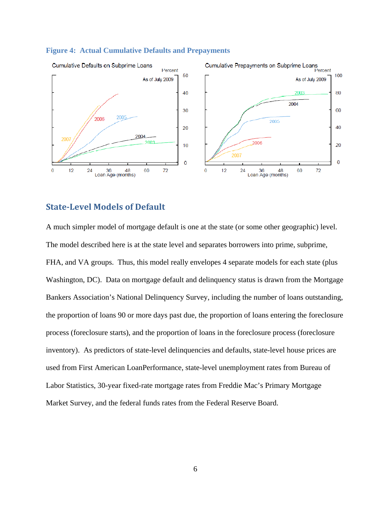

#### **Figure 4: Actual Cumulative Defaults and Prepayments**

## **StateLevel Models of Default**

A much simpler model of mortgage default is one at the state (or some other geographic) level. The model described here is at the state level and separates borrowers into prime, subprime, FHA, and VA groups. Thus, this model really envelopes 4 separate models for each state (plus Washington, DC). Data on mortgage default and delinquency status is drawn from the Mortgage Bankers Association's National Delinquency Survey, including the number of loans outstanding, the proportion of loans 90 or more days past due, the proportion of loans entering the foreclosure process (foreclosure starts), and the proportion of loans in the foreclosure process (foreclosure inventory). As predictors of state-level delinquencies and defaults, state-level house prices are used from First American LoanPerformance, state-level unemployment rates from Bureau of Labor Statistics, 30-year fixed-rate mortgage rates from Freddie Mac's Primary Mortgage Market Survey, and the federal funds rates from the Federal Reserve Board.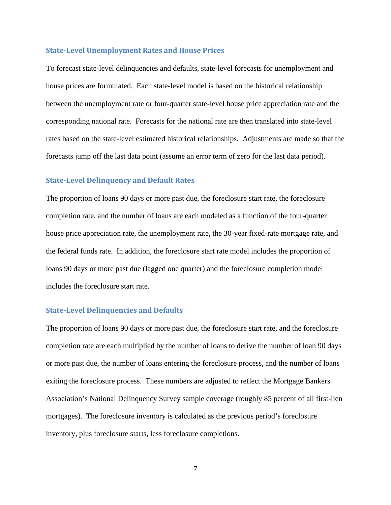#### **StateLevel Unemployment Rates and House Prices**

To forecast state-level delinquencies and defaults, state-level forecasts for unemployment and house prices are formulated. Each state-level model is based on the historical relationship between the unemployment rate or four-quarter state-level house price appreciation rate and the corresponding national rate. Forecasts for the national rate are then translated into state-level rates based on the state-level estimated historical relationships. Adjustments are made so that the forecasts jump off the last data point (assume an error term of zero for the last data period).

#### **StateLevel Delinquency and Default Rates**

The proportion of loans 90 days or more past due, the foreclosure start rate, the foreclosure completion rate, and the number of loans are each modeled as a function of the four-quarter house price appreciation rate, the unemployment rate, the 30-year fixed-rate mortgage rate, and the federal funds rate. In addition, the foreclosure start rate model includes the proportion of loans 90 days or more past due (lagged one quarter) and the foreclosure completion model includes the foreclosure start rate.

#### **StateLevel Delinquencies and Defaults**

The proportion of loans 90 days or more past due, the foreclosure start rate, and the foreclosure completion rate are each multiplied by the number of loans to derive the number of loan 90 days or more past due, the number of loans entering the foreclosure process, and the number of loans exiting the foreclosure process. These numbers are adjusted to reflect the Mortgage Bankers Association's National Delinquency Survey sample coverage (roughly 85 percent of all first-lien mortgages). The foreclosure inventory is calculated as the previous period's foreclosure inventory, plus foreclosure starts, less foreclosure completions.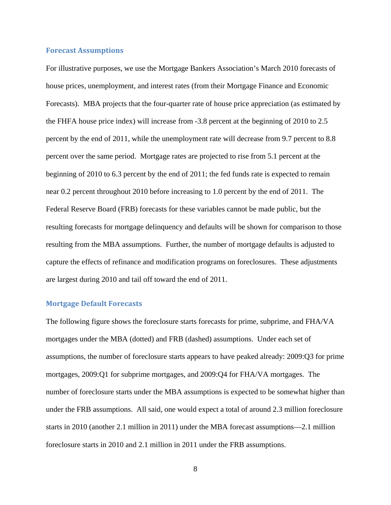#### **Forecast Assumptions**

For illustrative purposes, we use the Mortgage Bankers Association's March 2010 forecasts of house prices, unemployment, and interest rates (from their Mortgage Finance and Economic Forecasts). MBA projects that the four-quarter rate of house price appreciation (as estimated by the FHFA house price index) will increase from -3.8 percent at the beginning of 2010 to 2.5 percent by the end of 2011, while the unemployment rate will decrease from 9.7 percent to 8.8 percent over the same period. Mortgage rates are projected to rise from 5.1 percent at the beginning of 2010 to 6.3 percent by the end of 2011; the fed funds rate is expected to remain near 0.2 percent throughout 2010 before increasing to 1.0 percent by the end of 2011. The Federal Reserve Board (FRB) forecasts for these variables cannot be made public, but the resulting forecasts for mortgage delinquency and defaults will be shown for comparison to those resulting from the MBA assumptions. Further, the number of mortgage defaults is adjusted to capture the effects of refinance and modification programs on foreclosures. These adjustments are largest during 2010 and tail off toward the end of 2011.

#### **Mortgage Default Forecasts**

The following figure shows the foreclosure starts forecasts for prime, subprime, and FHA/VA mortgages under the MBA (dotted) and FRB (dashed) assumptions. Under each set of assumptions, the number of foreclosure starts appears to have peaked already: 2009:Q3 for prime mortgages, 2009:Q1 for subprime mortgages, and 2009:Q4 for FHA/VA mortgages. The number of foreclosure starts under the MBA assumptions is expected to be somewhat higher than under the FRB assumptions. All said, one would expect a total of around 2.3 million foreclosure starts in 2010 (another 2.1 million in 2011) under the MBA forecast assumptions—2.1 million foreclosure starts in 2010 and 2.1 million in 2011 under the FRB assumptions.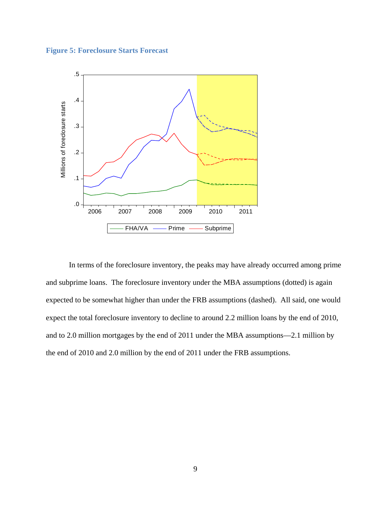**Figure 5: Foreclosure Starts Forecast** 



In terms of the foreclosure inventory, the peaks may have already occurred among prime and subprime loans. The foreclosure inventory under the MBA assumptions (dotted) is again expected to be somewhat higher than under the FRB assumptions (dashed). All said, one would expect the total foreclosure inventory to decline to around 2.2 million loans by the end of 2010, and to 2.0 million mortgages by the end of 2011 under the MBA assumptions—2.1 million by the end of 2010 and 2.0 million by the end of 2011 under the FRB assumptions.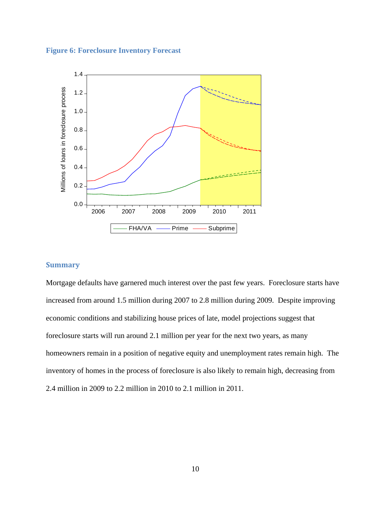#### **Figure 6: Foreclosure Inventory Forecast**



### **Summary**

Mortgage defaults have garnered much interest over the past few years. Foreclosure starts have increased from around 1.5 million during 2007 to 2.8 million during 2009. Despite improving economic conditions and stabilizing house prices of late, model projections suggest that foreclosure starts will run around 2.1 million per year for the next two years, as many homeowners remain in a position of negative equity and unemployment rates remain high. The inventory of homes in the process of foreclosure is also likely to remain high, decreasing from 2.4 million in 2009 to 2.2 million in 2010 to 2.1 million in 2011.